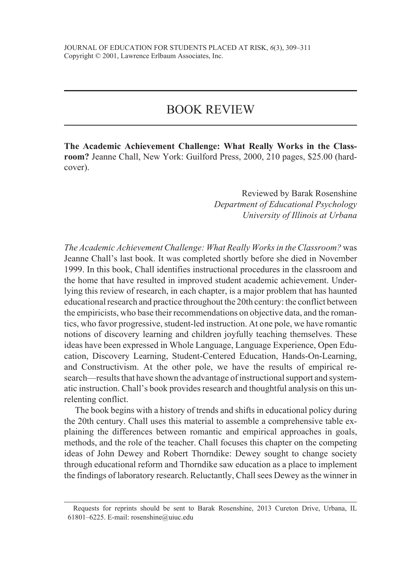## BOOK REVIEW

**The Academic Achievement Challenge: What Really Works in the Class room?** Jeanne Chall, New York: Guilford Press, 2000, 210 pages, \$25.00 (hard cover).

> Reviewed by Barak Rosenshine *Department of Educational Psychology University of Illinois at Urbana*

*The Academic Achievement Challenge: What Really Works in the Classroom?* was Jeanne Chall's last book. It was completed shortly before she died in November 1999. In this book, Chall identifies instructional procedures in the classroom and the home that have resulted in improved student academic achievement. Underlying this review of research, in each chapter, is a major problem that has haunted educational research and practice throughout the 20th century: the conflict between the empiricists, who base their recommendations on objective data, and the romantics, who favor progressive, student-led instruction. At one pole, we have romantic notions of discovery learning and children joyfully teaching themselves. These ideas have been expressed in Whole Language, Language Experience, Open Edu cation, Discovery Learning, Student-Centered Education, Hands-On-Learning, and Constructivism. At the other pole, we have the results of empirical re search—results that have shown the advantage of instructional support and systematic instruction. Chall's book provides research and thoughtful analysis on this un relenting conflict.

The book begins with a history of trends and shifts in educational policy during the 20th century. Chall uses this material to assemble a comprehensive table ex plaining the differences between romantic and empirical approaches in goals, methods, and the role of the teacher. Chall focuses this chapter on the competing ideas of John Dewey and Robert Thorndike: Dewey sought to change society through educational reform and Thorndike saw education as a place to implement the findings of laboratory research. Reluctantly, Chall sees Dewey as the winner in

Requests for reprints should be sent to Barak Rosenshine, 2013 Cureton Drive, Urbana, IL 61801–6225. E-mail: rosenshine@uiuc.edu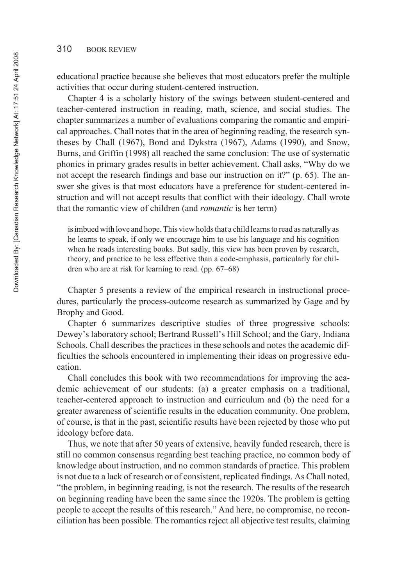educational practice because she believes that most educators prefer the multiple activities that occur during student-centered instruction.

Chapter 4 is a scholarly history of the swings between student-centered and teacher-centered instruction in reading, math, science, and social studies. The chapter summarizes a number of evaluations comparing the romantic and empiri cal approaches. Chall notes that in the area of beginning reading, the research syn theses by Chall (1967), Bond and Dykstra (1967), Adams (1990), and Snow, Burns, and Griffin (1998) all reached the same conclusion: The use of systematic phonics in primary grades results in better achievement. Chall asks, "Why do we not accept the research findings and base our instruction on it?" (p. 65). The answer she gives is that most educators have a preference for student-centered instruction and will not accept results that conflict with their ideology. Chall wrote that the romantic view of children (and *romantic* is her term)

is imbued with love and hope. This view holds that a child learns to read as naturally as he learns to speak, if only we encourage him to use his language and his cognition when he reads interesting books. But sadly, this view has been proven by research, theory, and practice to be less effective than a code-emphasis, particularly for children who are at risk for learning to read. (pp. 67–68)

Chapter 5 presents a review of the empirical research in instructional procedures, particularly the process-outcome research as summarized by Gage and by Brophy and Good.

Chapter 6 summarizes descriptive studies of three progressive schools: Dewey's laboratory school; Bertrand Russell's Hill School; and the Gary, Indiana Schools. Chall describes the practices in these schools and notes the academic difficulties the schools encountered in implementing their ideas on progressive education.

Chall concludes this book with two recommendations for improving the aca demic achievement of our students: (a) a greater emphasis on a traditional, teacher-centered approach to instruction and curriculum and (b) the need for a greater awareness of scientific results in the education community. One problem, of course, is that in the past, scientific results have been rejected by those who put ideology before data.

Thus, we note that after 50 years of extensive, heavily funded research, there is still no common consensus regarding best teaching practice, no common body of knowledge about instruction, and no common standards of practice. This problem is not due to a lack of research or of consistent, replicated findings. As Chall noted, "the problem, in beginning reading, is not the research. The results of the research on beginning reading have been the same since the 1920s. The problem is getting people to accept the results of this research." And here, no compromise, no recon ciliation has been possible. The romantics reject all objective test results, claiming